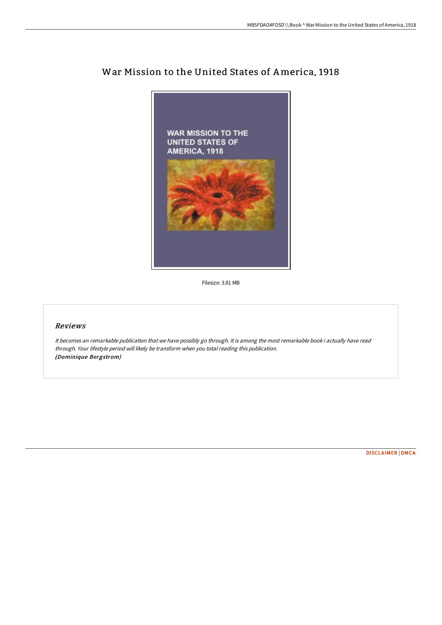

## War Mission to the United States of America, 1918

Filesize: 3.81 MB

## Reviews

It becomes an remarkable publication that we have possibly go through. It is among the most remarkable book i actually have read through. Your lifestyle period will likely be transform when you total reading this publication. (Dominique Bergstrom)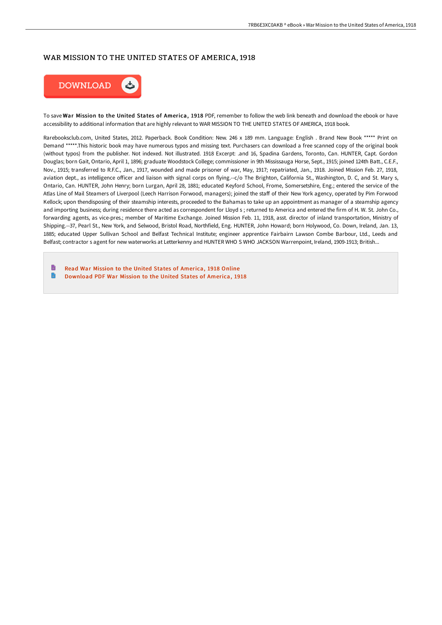## WAR MISSION TO THE UNITED STATES OF AMERICA, 1918



To save War Mission to the United States of America, 1918 PDF, remember to follow the web link beneath and download the ebook or have accessibility to additional information that are highly relevant to WAR MISSION TO THE UNITED STATES OF AMERICA, 1918 book.

Rarebooksclub.com, United States, 2012. Paperback. Book Condition: New. 246 x 189 mm. Language: English . Brand New Book \*\*\*\*\* Print on Demand \*\*\*\*\*.This historic book may have numerous typos and missing text. Purchasers can download a free scanned copy of the original book (without typos) from the publisher. Not indexed. Not illustrated. 1918 Excerpt: .and 16, Spadina Gardens, Toronto, Can. HUNTER, Capt. Gordon Douglas; born Gait, Ontario, April 1, 1896; graduate Woodstock College; commissioner in 9th Mississauga Horse, Sept., 1915; joined 124th Batt., C.E.F., Nov., 1915; transferred to R.F.C., Jan., 1917, wounded and made prisoner of war, May, 1917; repatriated, Jan., 1918. Joined Mission Feb. 27, 1918, aviation dept., as intelligence officer and liaison with signal corps on flying.--c/o The Brighton, California St., Washington, D. C, and St. Mary s, Ontario, Can. HUNTER, John Henry; born Lurgan, April 28, 1881; educated Keyford School, Frome, Somersetshire, Eng.; entered the service of the Atlas Line of Mail Steamers of Liverpool (Leech Harrison Forwood, managers); joined the staff of their New York agency, operated by Pim Forwood Kellock; upon thendisposing of their steamship interests, proceeded to the Bahamas to take up an appointment as manager of a steamship agency and importing business; during residence there acted as correspondent for Lloyd s ; returned to America and entered the firm of H. W. St. John Co., forwarding agents, as vice-pres.; member of Maritime Exchange. Joined Mission Feb. 11, 1918, asst. director of inland transportation, Ministry of Shipping.--37, Pearl St., New York, and Selwood, Bristol Road, Northfield, Eng. HUNTER, John Howard; born Holywood, Co. Down, Ireland, Jan. 13, 1885; educated Upper Sullivan School and Belfast Technical Institute; engineer apprentice Fairbairn Lawson Combe Barbour, Ltd., Leeds and Belfast; contractor s agent for new waterworks at Letterkenny and HUNTER WHO S WHO JACKSON Warrenpoint, Ireland, 1909-1913; British...

h Read War Mission to the United States of [America,](http://albedo.media/war-mission-to-the-united-states-of-america-1918.html) 1918 Online  $\blacksquare$ [Download](http://albedo.media/war-mission-to-the-united-states-of-america-1918.html) PDF War Mission to the United States of America, 1918